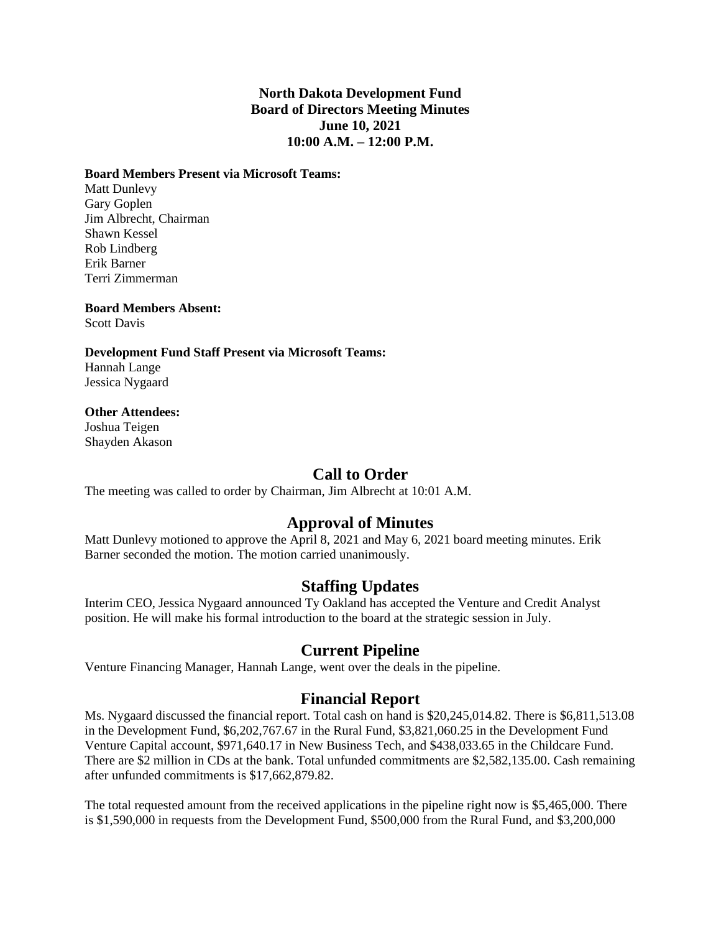### **North Dakota Development Fund Board of Directors Meeting Minutes June 10, 2021 10:00 A.M. – 12:00 P.M.**

#### **Board Members Present via Microsoft Teams:**

Matt Dunlevy Gary Goplen Jim Albrecht, Chairman Shawn Kessel Rob Lindberg Erik Barner Terri Zimmerman

**Board Members Absent:** Scott Davis

**Development Fund Staff Present via Microsoft Teams:** Hannah Lange Jessica Nygaard

#### **Other Attendees:**

Joshua Teigen Shayden Akason

# **Call to Order**

The meeting was called to order by Chairman, Jim Albrecht at 10:01 A.M.

# **Approval of Minutes**

Matt Dunlevy motioned to approve the April 8, 2021 and May 6, 2021 board meeting minutes. Erik Barner seconded the motion. The motion carried unanimously.

## **Staffing Updates**

Interim CEO, Jessica Nygaard announced Ty Oakland has accepted the Venture and Credit Analyst position. He will make his formal introduction to the board at the strategic session in July.

# **Current Pipeline**

Venture Financing Manager, Hannah Lange, went over the deals in the pipeline.

## **Financial Report**

Ms. Nygaard discussed the financial report. Total cash on hand is \$20,245,014.82. There is \$6,811,513.08 in the Development Fund, \$6,202,767.67 in the Rural Fund, \$3,821,060.25 in the Development Fund Venture Capital account, \$971,640.17 in New Business Tech, and \$438,033.65 in the Childcare Fund. There are \$2 million in CDs at the bank. Total unfunded commitments are \$2,582,135.00. Cash remaining after unfunded commitments is \$17,662,879.82.

The total requested amount from the received applications in the pipeline right now is \$5,465,000. There is \$1,590,000 in requests from the Development Fund, \$500,000 from the Rural Fund, and \$3,200,000